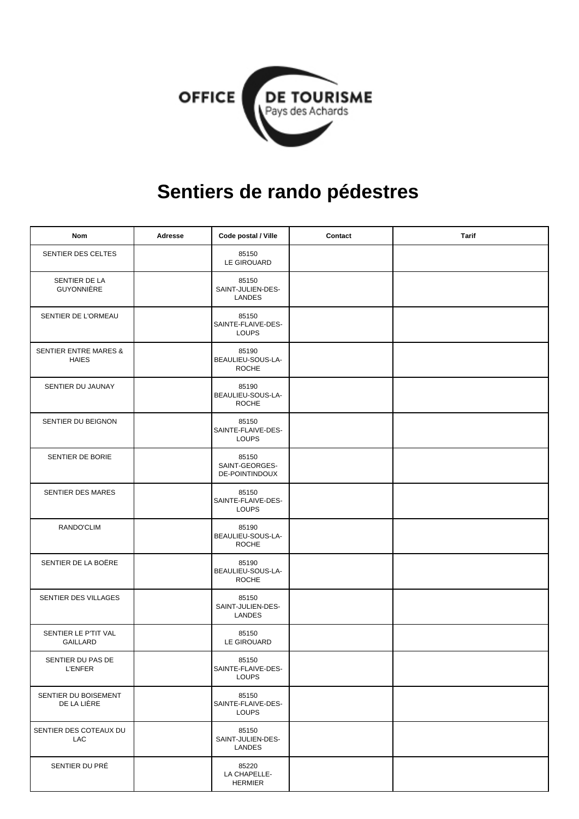

## **Sentiers de rando pédestres**

| <b>Nom</b>                                       | Adresse | Code postal / Ville                              | Contact | <b>Tarif</b> |
|--------------------------------------------------|---------|--------------------------------------------------|---------|--------------|
| SENTIER DES CELTES                               |         | 85150<br>LE GIROUARD                             |         |              |
| SENTIER DE LA<br>GUYONNIÈRE                      |         | 85150<br>SAINT-JULIEN-DES-<br>LANDES             |         |              |
| SENTIER DE L'ORMEAU                              |         | 85150<br>SAINTE-FLAIVE-DES-<br><b>LOUPS</b>      |         |              |
| <b>SENTIER ENTRE MARES &amp;</b><br><b>HAIES</b> |         | 85190<br>BEAULIEU-SOUS-LA-<br><b>ROCHE</b>       |         |              |
| SENTIER DU JAUNAY                                |         | 85190<br>BEAULIEU-SOUS-LA-<br><b>ROCHE</b>       |         |              |
| SENTIER DU BEIGNON                               |         | 85150<br>SAINTE-FLAIVE-DES-<br><b>LOUPS</b>      |         |              |
| SENTIER DE BORIE                                 |         | 85150<br>SAINT-GEORGES-<br><b>DE-POINTINDOUX</b> |         |              |
| SENTIER DES MARES                                |         | 85150<br>SAINTE-FLAIVE-DES-<br><b>LOUPS</b>      |         |              |
| RANDO'CLIM                                       |         | 85190<br>BEAULIEU-SOUS-LA-<br><b>ROCHE</b>       |         |              |
| SENTIER DE LA BOËRE                              |         | 85190<br>BEAULIEU-SOUS-LA-<br><b>ROCHE</b>       |         |              |
| SENTIER DES VILLAGES                             |         | 85150<br>SAINT-JULIEN-DES-<br><b>LANDES</b>      |         |              |
| SENTIER LE P'TIT VAL<br>GAILLARD                 |         | 85150<br>LE GIROUARD                             |         |              |
| SENTIER DU PAS DE<br><b>L'ENFER</b>              |         | 85150<br>SAINTE-FLAIVE-DES-<br><b>LOUPS</b>      |         |              |
| SENTIER DU BOISEMENT<br>DE LA LIÈRE              |         | 85150<br>SAINTE-FLAIVE-DES-<br><b>LOUPS</b>      |         |              |
| SENTIER DES COTEAUX DU<br>LAC                    |         | 85150<br>SAINT-JULIEN-DES-<br><b>LANDES</b>      |         |              |
| SENTIER DU PRÉ                                   |         | 85220<br>LA CHAPELLE-<br>HERMIER                 |         |              |